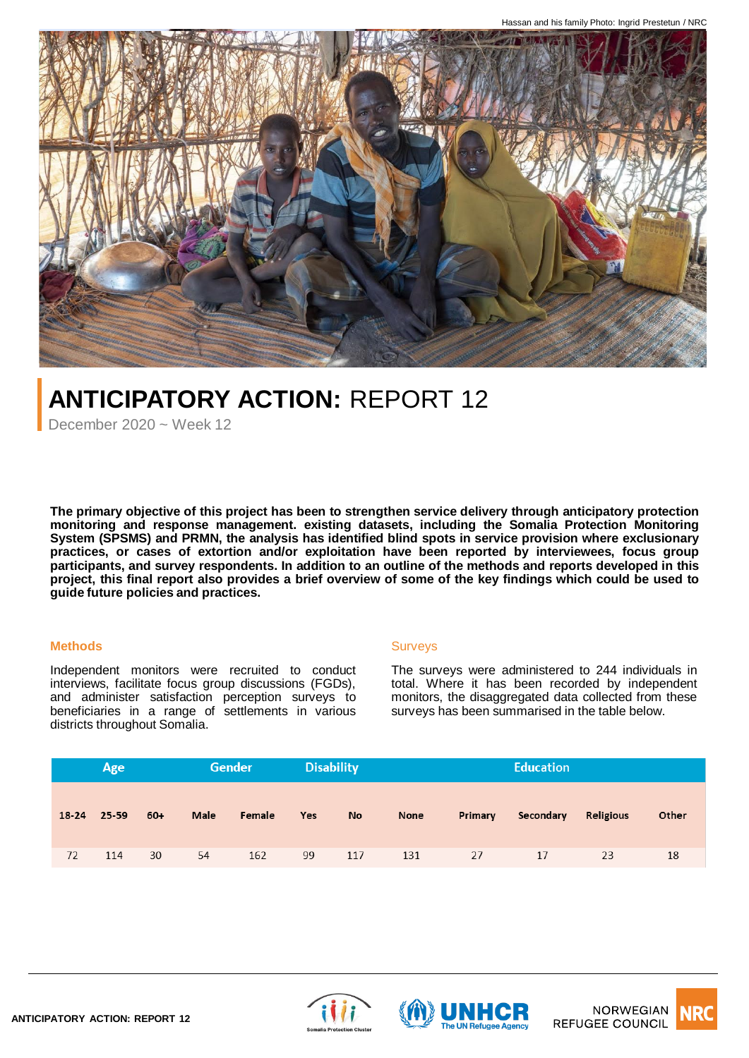

# **ANTICIPATORY ACTION:** REPORT 12

December  $2020 \approx$  Week 12

**The primary objective of this project has been to strengthen service delivery through anticipatory protection monitoring and response management. existing datasets, including the Somalia Protection Monitoring System (SPSMS) and PRMN, the analysis has identified blind spots in service provision where exclusionary practices, or cases of extortion and/or exploitation have been reported by interviewees, focus group** participants, and survey respondents. In addition to an outline of the methods and reports developed in this project, this final report also provides a brief overview of some of the key findings which could be used to **guide future policies and practices.**

# **Methods**

Independent monitors were recruited to conduct interviews, facilitate focus group discussions (FGDs), and administer satisfaction perception surveys to beneficiaries in a range of settlements in various districts throughout Somalia.

### **Surveys**

The surveys were administered to 244 individuals in total. Where it has been recorded by independent monitors, the disaggregated data collected from these surveys has been summarised in the table below.

| Age |             |     | Gender |        | <b>Disability</b> |           | <b>Education</b> |         |           |           |       |
|-----|-------------|-----|--------|--------|-------------------|-----------|------------------|---------|-----------|-----------|-------|
|     |             |     |        |        |                   |           |                  |         |           |           |       |
|     | 18-24 25-59 | 60+ | Male   | Female | Yes               | <b>No</b> | None             | Primary | Secondary | Religious | Other |
|     |             |     |        |        |                   |           |                  |         |           |           |       |
| 72  | 114         | 30  | 54     | 162    | 99                | 117       | 131              | 27      | 17        | 23        | 18    |